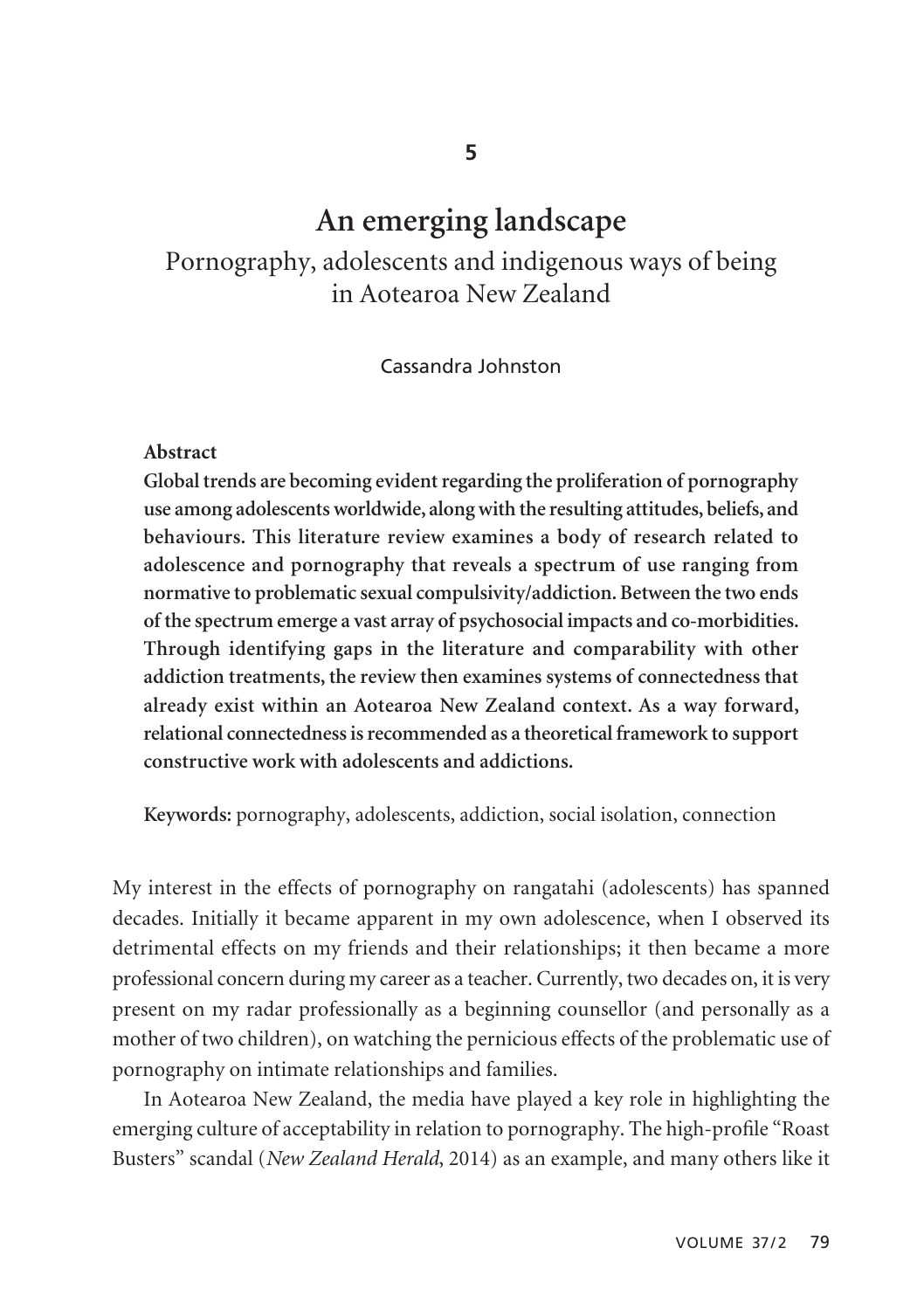# **An emerging landscape**

Pornography, adolescents and indigenous ways of being in Aotearoa New Zealand

Cassandra Johnston

#### **Abstract**

**Global trends are becoming evident regarding the proliferation of pornography use among adolescents worldwide, along with the resulting attitudes, beliefs, and behaviours. This literature review examines a body of research related to adolescence and pornography that reveals a spectrum of use ranging from normative to problematic sexual compulsivity/addiction. Between the two ends of the spectrum emerge a vast array of psychosocial impacts and co-morbidities. Through identifying gaps in the literature and comparability with other addiction treatments, the review then examines systems of connectedness that already exist within an Aotearoa New Zealand context. As a way forward, relational connectedness is recommended as a theoretical framework to support constructive work with adolescents and addictions.** 

**Keywords:** pornography, adolescents, addiction, social isolation, connection

My interest in the effects of pornography on rangatahi (adolescents) has spanned decades. Initially it became apparent in my own adolescence, when I observed its detrimental effects on my friends and their relationships; it then became a more professional concern during my career as a teacher. Currently, two decades on, it is very present on my radar professionally as a beginning counsellor (and personally as a mother of two children), on watching the pernicious effects of the problematic use of pornography on intimate relationships and families.

In Aotearoa New Zealand, the media have played a key role in highlighting the emerging culture of acceptability in relation to pornography. The high-profile "Roast Busters" scandal (*New Zealand Herald*, 2014) as an example, and many others like it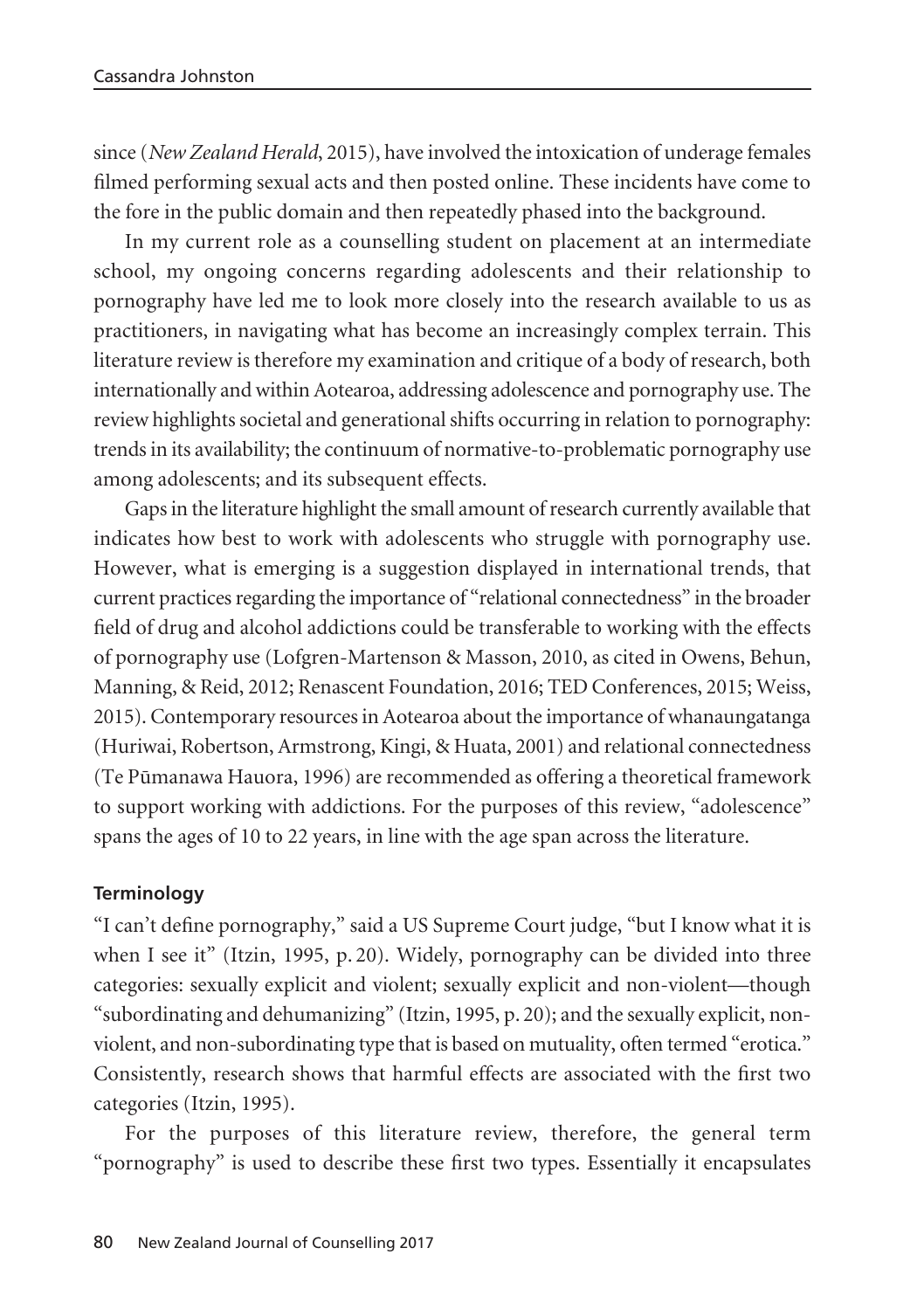since (*New Zealand Herald*, 2015), have involved the intoxication of underage females filmed performing sexual acts and then posted online. These incidents have come to the fore in the public domain and then repeatedly phased into the background.

In my current role as a counselling student on placement at an intermediate school, my ongoing concerns regarding adolescents and their relationship to pornography have led me to look more closely into the research available to us as practitioners, in navigating what has become an increasingly complex terrain. This literature review is therefore my examination and critique of a body of research, both internationally and within Aotearoa, addressing adolescence and pornography use. The review highlights societal and generational shifts occurring in relation to pornography: trends in its availability; the continuum of normative-to-problematic pornography use among adolescents; and its subsequent effects.

Gaps in the literature highlight the small amount of research currently available that indicates how best to work with adolescents who struggle with pornography use. However, what is emerging is a suggestion displayed in international trends, that current practices regarding the importance of "relational connectedness" in the broader field of drug and alcohol addictions could be transferable to working with the effects of pornography use (Lofgren-Martenson & Masson, 2010, as cited in Owens, Behun, Manning, & Reid, 2012; Renascent Foundation, 2016; TED Conferences, 2015; Weiss, 2015). Contemporary resources in Aotearoa about the importance of whanaungatanga (Huriwai, Robertson, Armstrong, Kingi, & Huata, 2001) and relational connectedness (Te Pümanawa Hauora, 1996) are recommended as offering a theoretical framework to support working with addictions. For the purposes of this review, "adolescence" spans the ages of 10 to 22 years, in line with the age span across the literature.

## **Terminology**

"I can't define pornography," said a US Supreme Court judge, "but I know what it is when I see it" (Itzin, 1995, p. 20). Widely, pornography can be divided into three categories: sexually explicit and violent; sexually explicit and non-violent—though "subordinating and dehumanizing" (Itzin, 1995, p. 20); and the sexually explicit, nonviolent, and non-subordinating type that is based on mutuality, often termed "erotica." Consistently, research shows that harmful effects are associated with the first two categories (Itzin, 1995).

For the purposes of this literature review, therefore, the general term "pornography" is used to describe these first two types. Essentially it encapsulates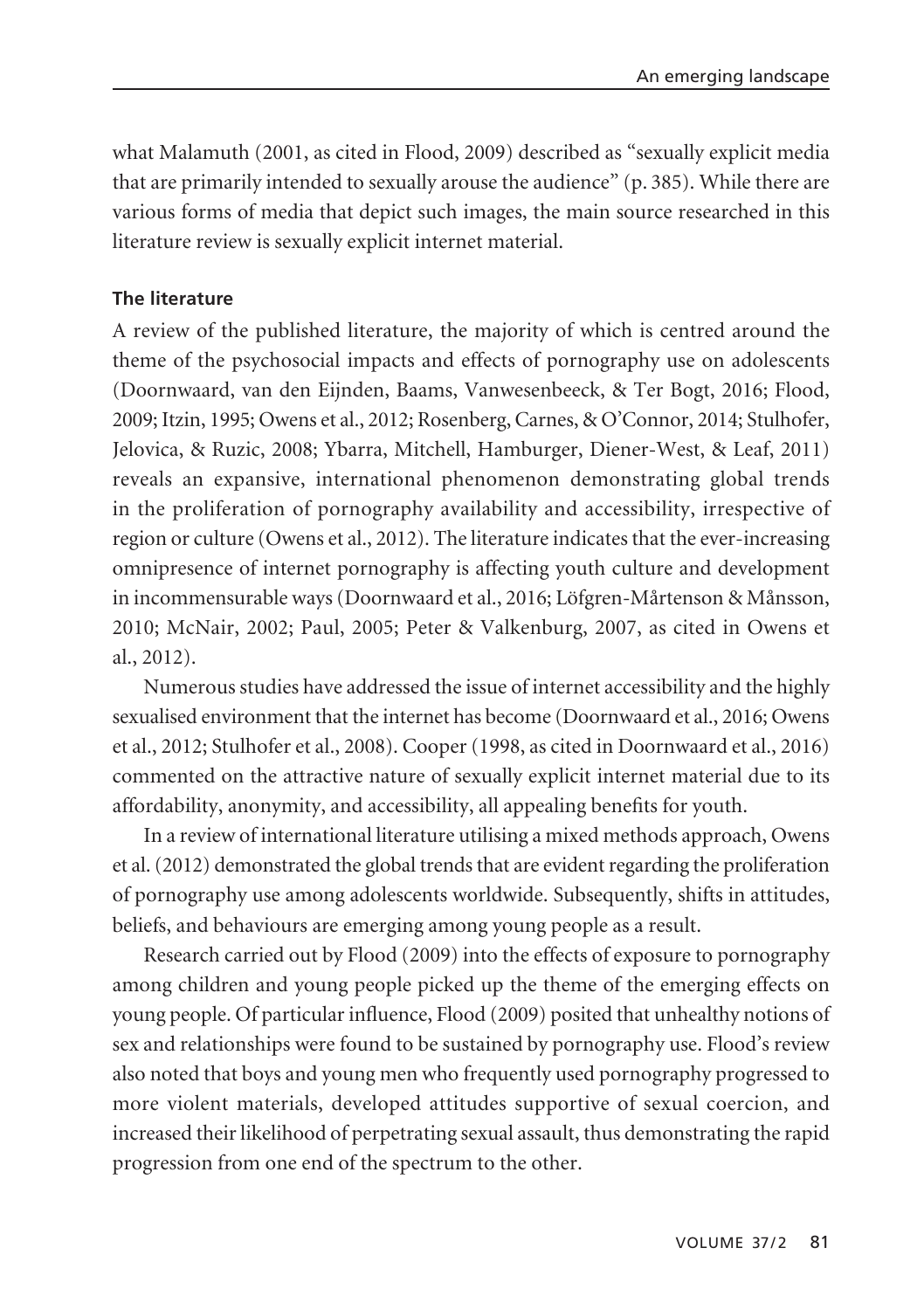what Malamuth (2001, as cited in Flood, 2009) described as "sexually explicit media that are primarily intended to sexually arouse the audience" (p. 385). While there are various forms of media that depict such images, the main source researched in this literature review is sexually explicit internet material.

# **The literature**

A review of the published literature, the majority of which is centred around the theme of the psychosocial impacts and effects of pornography use on adolescents (Doornwaard, van den Eijnden, Baams, Vanwesenbeeck, & Ter Bogt, 2016; Flood, 2009; Itzin, 1995; Owens et al., 2012; Rosenberg, Carnes, & O'Connor, 2014; Stulhofer, Jelovica, & Ruzic, 2008; Ybarra, Mitchell, Hamburger, Diener-West, & Leaf, 2011) reveals an expansive, international phenomenon demonstrating global trends in the proliferation of pornography availability and accessibility, irrespective of region or culture (Owens et al., 2012). The literature indicates that the ever-increasing omnipresence of internet pornography is affecting youth culture and development in incommensurable ways (Doornwaard et al., 2016; Löfgren-Mårtenson & Månsson, 2010; McNair, 2002; Paul, 2005; Peter & Valkenburg, 2007, as cited in Owens et al., 2012).

Numerous studies have addressed the issue of internet accessibility and the highly sexualised environment that the internet has become (Doornwaard et al., 2016; Owens et al., 2012; Stulhofer et al., 2008). Cooper (1998, as cited in Doornwaard et al., 2016) commented on the attractive nature of sexually explicit internet material due to its affordability, anonymity, and accessibility, all appealing benefits for youth.

In a review of international literature utilising a mixed methods approach, Owens et al. (2012) demonstrated the global trends that are evident regarding the proliferation of pornography use among adolescents worldwide. Subsequently, shifts in attitudes, beliefs, and behaviours are emerging among young people as a result.

Research carried out by Flood (2009) into the effects of exposure to pornography among children and young people picked up the theme of the emerging effects on young people. Of particular influence, Flood (2009) posited that unhealthy notions of sex and relationships were found to be sustained by pornography use. Flood's review also noted that boys and young men who frequently used pornography progressed to more violent materials, developed attitudes supportive of sexual coercion, and increased their likelihood of perpetrating sexual assault, thus demonstrating the rapid progression from one end of the spectrum to the other.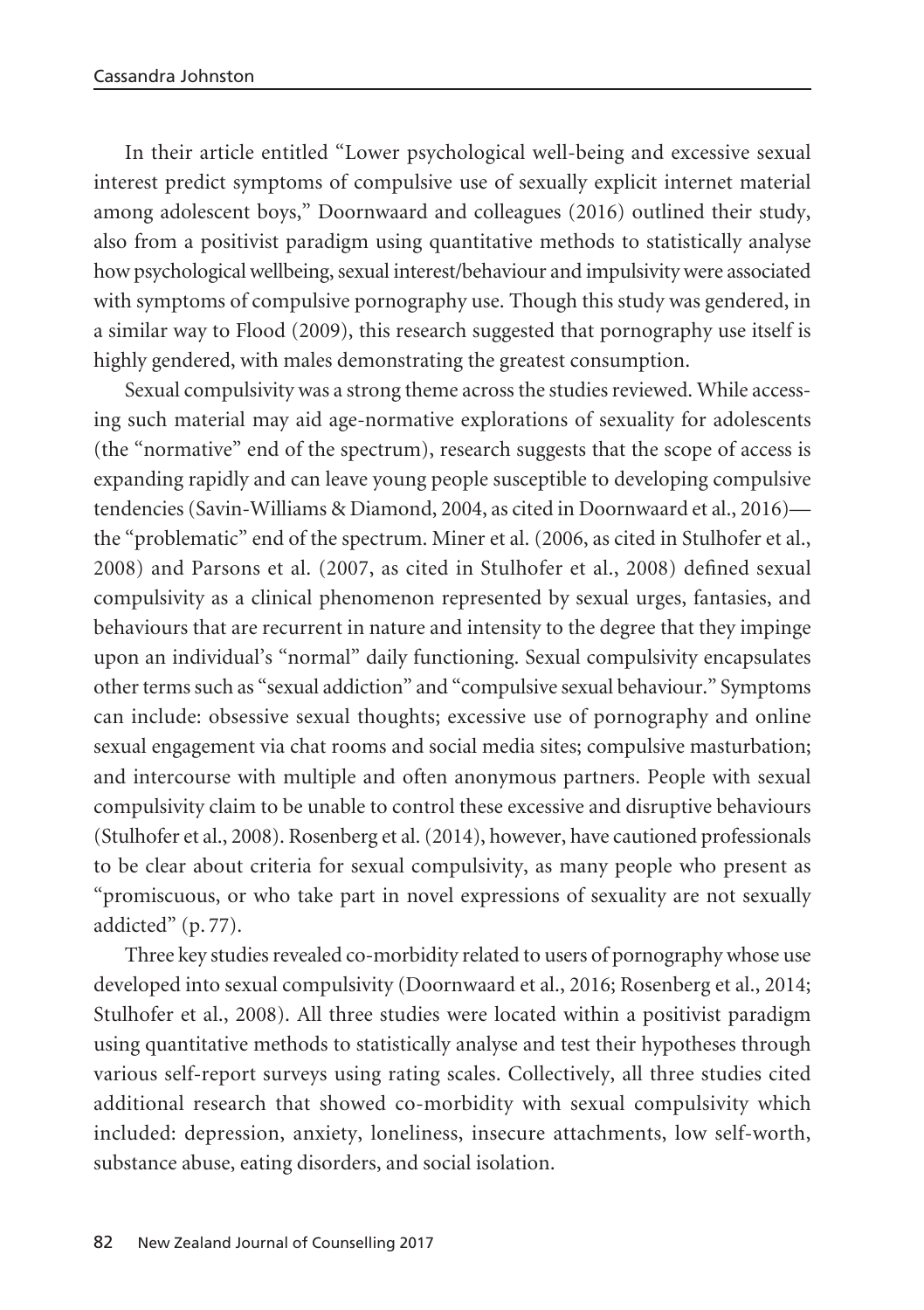In their article entitled "Lower psychological well-being and excessive sexual interest predict symptoms of compulsive use of sexually explicit internet material among adolescent boys," Doornwaard and colleagues (2016) outlined their study, also from a positivist paradigm using quantitative methods to statistically analyse how psychological wellbeing, sexual interest/behaviour and impulsivity were associated with symptoms of compulsive pornography use. Though this study was gendered, in a similar way to Flood (2009), this research suggested that pornography use itself is highly gendered, with males demonstrating the greatest consumption.

Sexual compulsivity was a strong theme across the studies reviewed. While accessing such material may aid age-normative explorations of sexuality for adolescents (the "normative" end of the spectrum), research suggests that the scope of access is expanding rapidly and can leave young people susceptible to developing compulsive tendencies (Savin-Williams & Diamond, 2004, as cited in Doornwaard et al., 2016) the "problematic" end of the spectrum. Miner et al. (2006, as cited in Stulhofer et al., 2008) and Parsons et al. (2007, as cited in Stulhofer et al., 2008) defined sexual compulsivity as a clinical phenomenon represented by sexual urges, fantasies, and behaviours that are recurrent in nature and intensity to the degree that they impinge upon an individual's "normal" daily functioning. Sexual compulsivity encapsulates other terms such as "sexual addiction" and "compulsive sexual behaviour." Symptoms can include: obsessive sexual thoughts; excessive use of pornography and online sexual engagement via chat rooms and social media sites; compulsive masturbation; and intercourse with multiple and often anonymous partners. People with sexual compulsivity claim to be unable to control these excessive and disruptive behaviours (Stulhofer et al., 2008). Rosenberg et al. (2014), however, have cautioned professionals to be clear about criteria for sexual compulsivity, as many people who present as "promiscuous, or who take part in novel expressions of sexuality are not sexually addicted" (p. 77).

Three key studies revealed co-morbidity related to users of pornography whose use developed into sexual compulsivity (Doornwaard et al., 2016; Rosenberg et al., 2014; Stulhofer et al., 2008). All three studies were located within a positivist paradigm using quantitative methods to statistically analyse and test their hypotheses through various self-report surveys using rating scales. Collectively, all three studies cited additional research that showed co-morbidity with sexual compulsivity which included: depression, anxiety, loneliness, insecure attachments, low self-worth, substance abuse, eating disorders, and social isolation.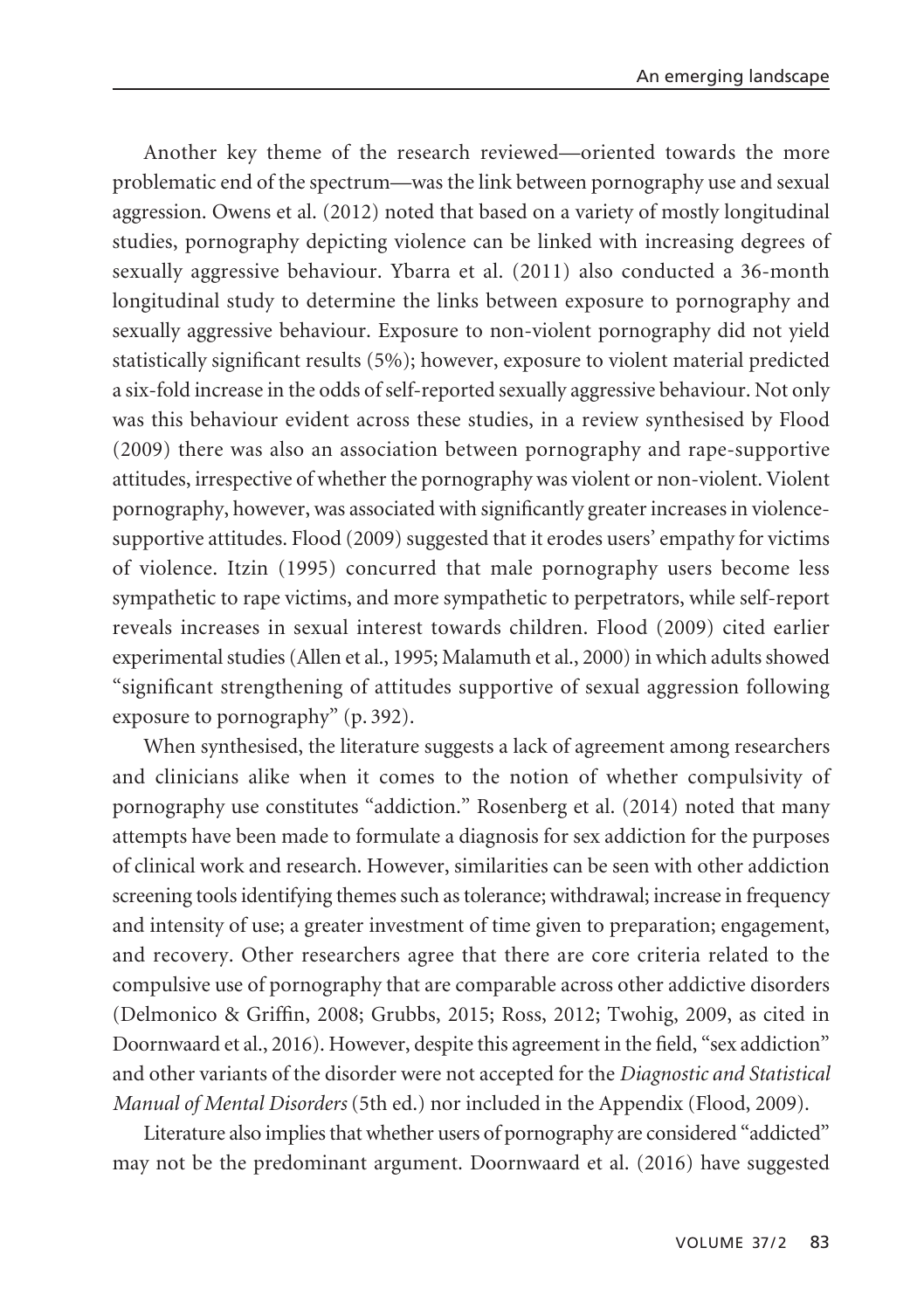Another key theme of the research reviewed—oriented towards the more problematic end of the spectrum—was the link between pornography use and sexual aggression. Owens et al. (2012) noted that based on a variety of mostly longitudinal studies, pornography depicting violence can be linked with increasing degrees of sexually aggressive behaviour. Ybarra et al. (2011) also conducted a 36-month longitudinal study to determine the links between exposure to pornography and sexually aggressive behaviour. Exposure to non-violent pornography did not yield statistically significant results (5%); however, exposure to violent material predicted a six-fold increase in the odds of self-reported sexually aggressive behaviour. Not only was this behaviour evident across these studies, in a review synthesised by Flood (2009) there was also an association between pornography and rape-supportive attitudes, irrespective of whether the pornography was violent or non-violent. Violent pornography, however, was associated with significantly greater increases in violencesupportive attitudes. Flood (2009) suggested that it erodes users' empathy for victims of violence. Itzin (1995) concurred that male pornography users become less sympathetic to rape victims, and more sympathetic to perpetrators, while self-report reveals increases in sexual interest towards children. Flood (2009) cited earlier experimental studies (Allen et al., 1995; Malamuth et al., 2000) in which adults showed "significant strengthening of attitudes supportive of sexual aggression following exposure to pornography" (p. 392).

When synthesised, the literature suggests a lack of agreement among researchers and clinicians alike when it comes to the notion of whether compulsivity of pornography use constitutes "addiction." Rosenberg et al. (2014) noted that many attempts have been made to formulate a diagnosis for sex addiction for the purposes of clinical work and research. However, similarities can be seen with other addiction screening tools identifying themes such as tolerance; withdrawal; increase in frequency and intensity of use; a greater investment of time given to preparation; engagement, and recovery. Other researchers agree that there are core criteria related to the compulsive use of pornography that are comparable across other addictive disorders (Delmonico & Griffin, 2008; Grubbs, 2015; Ross, 2012; Twohig, 2009, as cited in Doornwaard et al., 2016). However, despite this agreement in the field, "sex addiction" and other variants of the disorder were not accepted for the *Diagnostic and Statistical Manual of Mental Disorders* (5th ed.) nor included in the Appendix (Flood, 2009).

Literature also implies that whether users of pornography are considered "addicted" may not be the predominant argument. Doornwaard et al. (2016) have suggested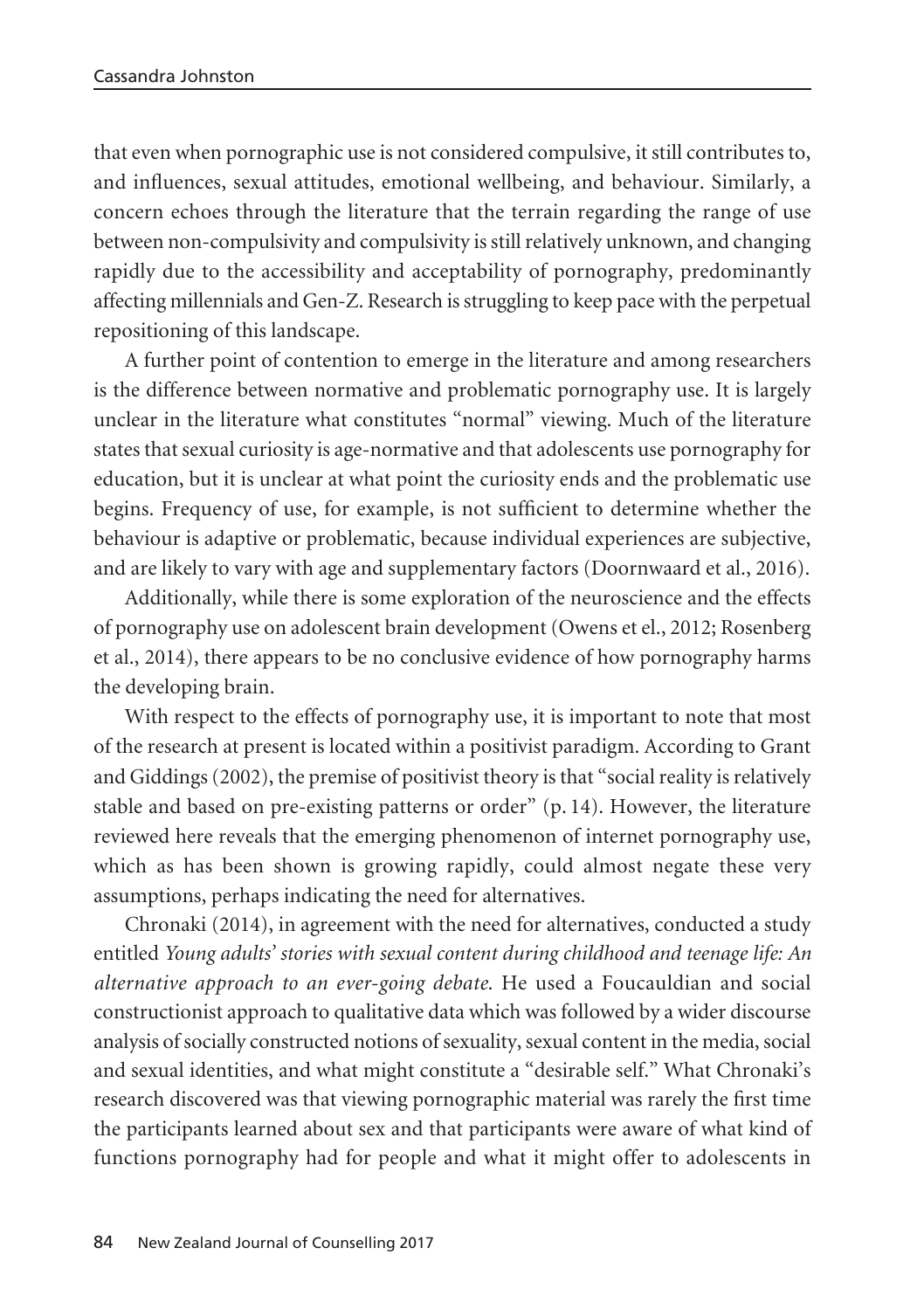that even when pornographic use is not considered compulsive, it still contributes to, and influences, sexual attitudes, emotional wellbeing, and behaviour. Similarly, a concern echoes through the literature that the terrain regarding the range of use between non-compulsivity and compulsivity is still relatively unknown, and changing rapidly due to the accessibility and acceptability of pornography, predominantly affecting millennials and Gen-Z. Research is struggling to keep pace with the perpetual repositioning of this landscape.

A further point of contention to emerge in the literature and among researchers is the difference between normative and problematic pornography use. It is largely unclear in the literature what constitutes "normal" viewing. Much of the literature states that sexual curiosity is age-normative and that adolescents use pornography for education, but it is unclear at what point the curiosity ends and the problematic use begins. Frequency of use, for example, is not sufficient to determine whether the behaviour is adaptive or problematic, because individual experiences are subjective, and are likely to vary with age and supplementary factors (Doornwaard et al., 2016).

Additionally, while there is some exploration of the neuroscience and the effects of pornography use on adolescent brain development (Owens et el., 2012; Rosenberg et al., 2014), there appears to be no conclusive evidence of how pornography harms the developing brain.

With respect to the effects of pornography use, it is important to note that most of the research at present is located within a positivist paradigm. According to Grant and Giddings (2002), the premise of positivist theory is that "social reality is relatively stable and based on pre-existing patterns or order" (p. 14). However, the literature reviewed here reveals that the emerging phenomenon of internet pornography use, which as has been shown is growing rapidly, could almost negate these very assumptions, perhaps indicating the need for alternatives.

Chronaki (2014), in agreement with the need for alternatives, conducted a study entitled *Young adults' stories with sexual content during childhood and teenage life: An alternative approach to an ever-going debate*. He used a Foucauldian and social constructionist approach to qualitative data which was followed by a wider discourse analysis of socially constructed notions of sexuality, sexual content in the media, social and sexual identities, and what might constitute a "desirable self." What Chronaki's research discovered was that viewing pornographic material was rarely the first time the participants learned about sex and that participants were aware of what kind of functions pornography had for people and what it might offer to adolescents in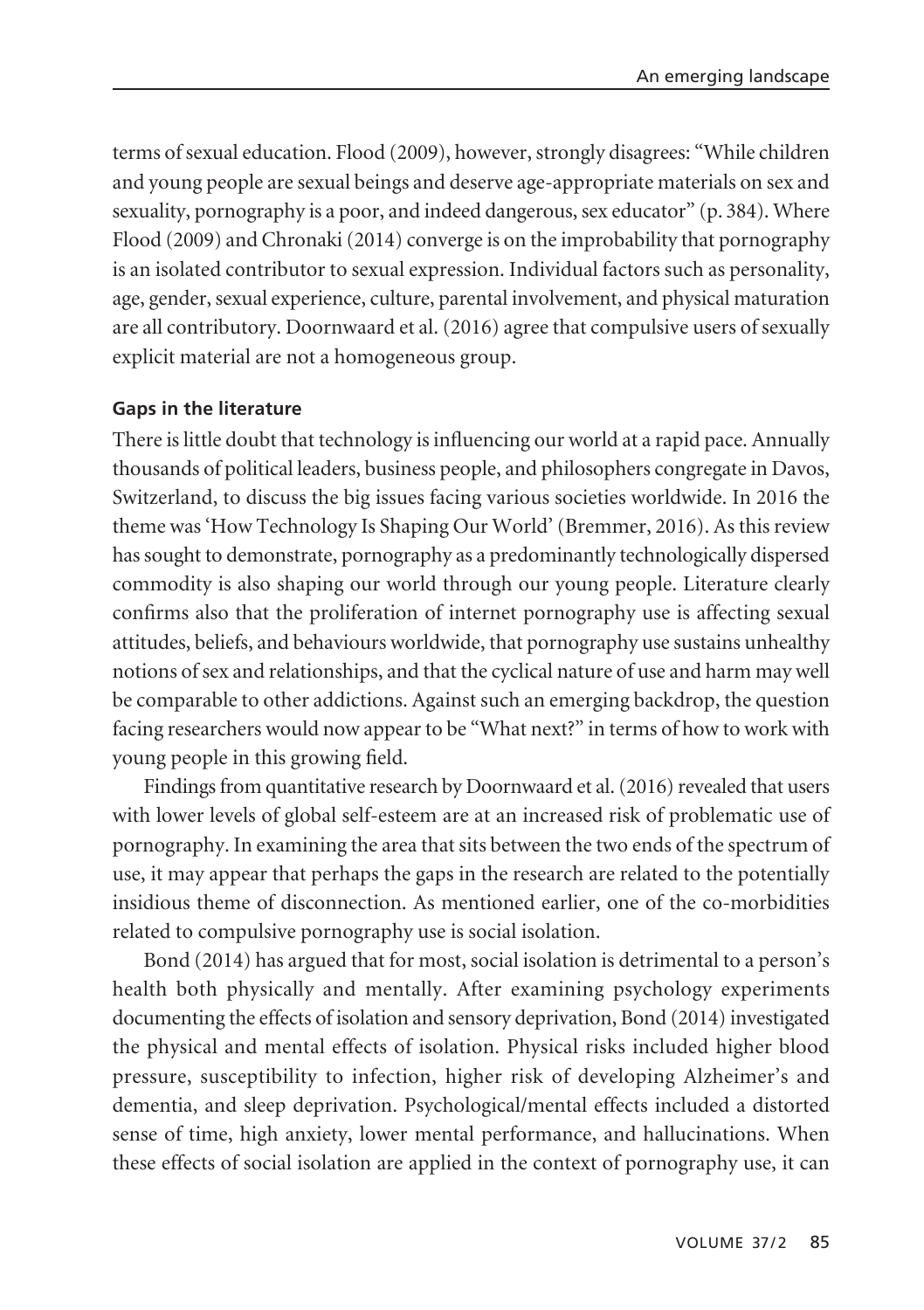terms of sexual education. Flood (2009), however, strongly disagrees: "While children and young people are sexual beings and deserve age-appropriate materials on sex and sexuality, pornography is a poor, and indeed dangerous, sex educator" (p. 384). Where Flood (2009) and Chronaki (2014) converge is on the improbability that pornography is an isolated contributor to sexual expression. Individual factors such as personality, age, gender, sexual experience, culture, parental involvement, and physical maturation are all contributory. Doornwaard et al. (2016) agree that compulsive users of sexually explicit material are not a homogeneous group.

#### **Gaps in the literature**

There is little doubt that technology is influencing our world at a rapid pace. Annually thousands of political leaders, business people, and philosophers congregate in Davos, Switzerland, to discuss the big issues facing various societies worldwide. In 2016 the theme was 'How Technology Is Shaping Our World' (Bremmer, 2016). As this review has sought to demonstrate, pornography as a predominantly technologically dispersed commodity is also shaping our world through our young people. Literature clearly confirms also that the proliferation of internet pornography use is affecting sexual attitudes, beliefs, and behaviours worldwide, that pornography use sustains unhealthy notions of sex and relationships, and that the cyclical nature of use and harm may well be comparable to other addictions. Against such an emerging backdrop, the question facing researchers would now appear to be "What next?" in terms of how to work with young people in this growing field.

Findings from quantitative research by Doornwaard et al. (2016) revealed that users with lower levels of global self-esteem are at an increased risk of problematic use of pornography. In examining the area that sits between the two ends of the spectrum of use, it may appear that perhaps the gaps in the research are related to the potentially insidious theme of disconnection. As mentioned earlier, one of the co-morbidities related to compulsive pornography use is social isolation.

Bond (2014) has argued that for most, social isolation is detrimental to a person's health both physically and mentally. After examining psychology experiments documenting the effects of isolation and sensory deprivation, Bond (2014) investigated the physical and mental effects of isolation. Physical risks included higher blood pressure, susceptibility to infection, higher risk of developing Alzheimer's and dementia, and sleep deprivation. Psychological/mental effects included a distorted sense of time, high anxiety, lower mental performance, and hallucinations. When these effects of social isolation are applied in the context of pornography use, it can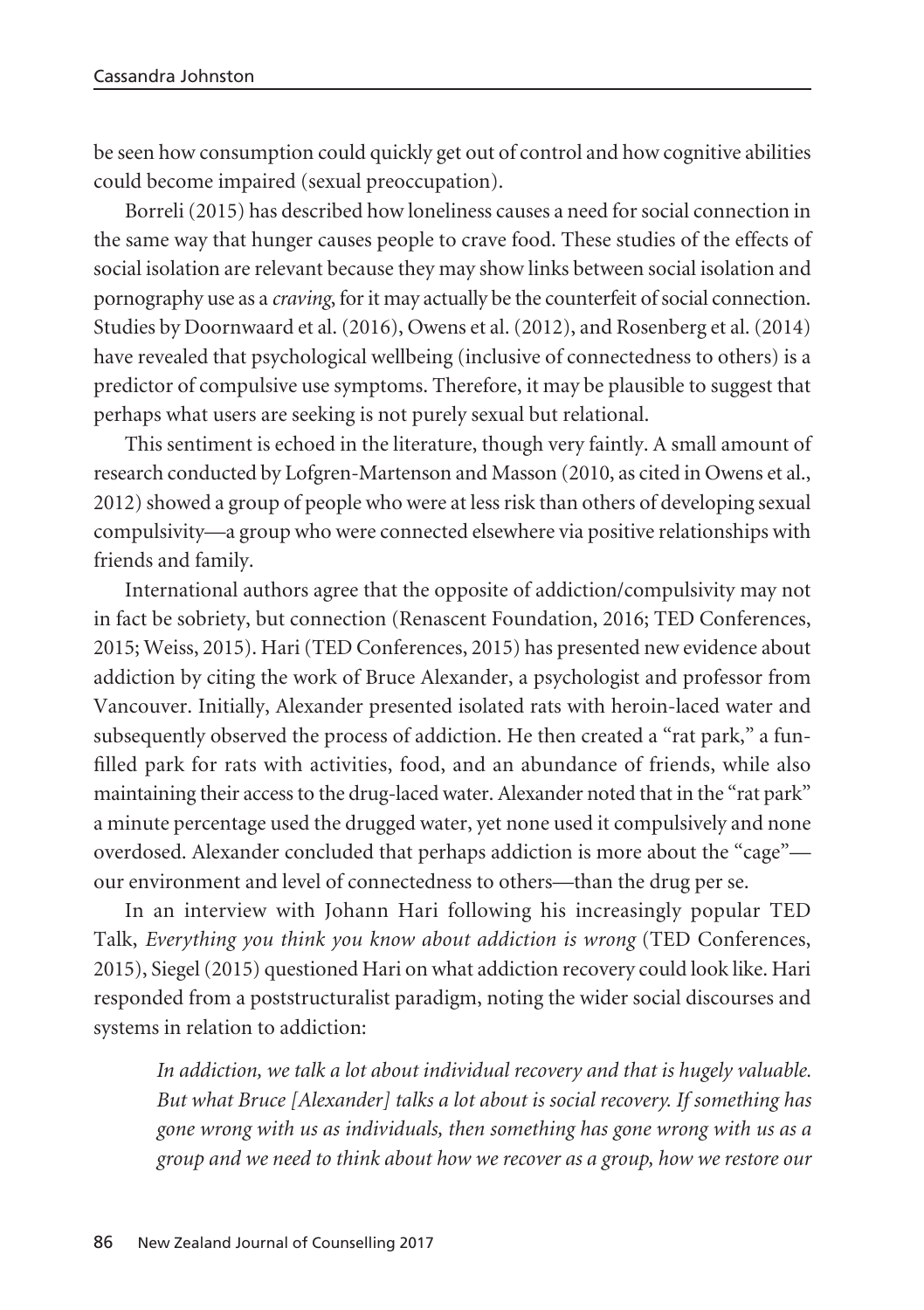be seen how consumption could quickly get out of control and how cognitive abilities could become impaired (sexual preoccupation).

Borreli (2015) has described how loneliness causes a need for social connection in the same way that hunger causes people to crave food. These studies of the effects of social isolation are relevant because they may show links between social isolation and pornography use as a *craving*, for it may actually be the counterfeit of social connection. Studies by Doornwaard et al. (2016), Owens et al. (2012), and Rosenberg et al. (2014) have revealed that psychological wellbeing (inclusive of connectedness to others) is a predictor of compulsive use symptoms. Therefore, it may be plausible to suggest that perhaps what users are seeking is not purely sexual but relational.

This sentiment is echoed in the literature, though very faintly. A small amount of research conducted by Lofgren-Martenson and Masson (2010, as cited in Owens et al., 2012) showed a group of people who were at less risk than others of developing sexual compulsivity—a group who were connected elsewhere via positive relationships with friends and family.

International authors agree that the opposite of addiction/compulsivity may not in fact be sobriety, but connection (Renascent Foundation, 2016; TED Conferences, 2015; Weiss, 2015). Hari (TED Conferences, 2015) has presented new evidence about addiction by citing the work of Bruce Alexander, a psychologist and professor from Vancouver. Initially, Alexander presented isolated rats with heroin-laced water and subsequently observed the process of addiction. He then created a "rat park," a funfilled park for rats with activities, food, and an abundance of friends, while also maintaining their access to the drug-laced water. Alexander noted that in the "rat park" a minute percentage used the drugged water, yet none used it compulsively and none overdosed. Alexander concluded that perhaps addiction is more about the "cage" our environment and level of connectedness to others—than the drug per se.

In an interview with Johann Hari following his increasingly popular TED Talk, *Everything you think you know about addiction is wrong* (TED Conferences, 2015), Siegel (2015) questioned Hari on what addiction recovery could look like. Hari responded from a poststructuralist paradigm, noting the wider social discourses and systems in relation to addiction:

*In addiction, we talk a lot about individual recovery and that is hugely valuable. But what Bruce [Alexander] talks a lot about is social recovery. If something has gone wrong with us as individuals, then something has gone wrong with us as a group and we need to think about how we recover as a group, how we restore our*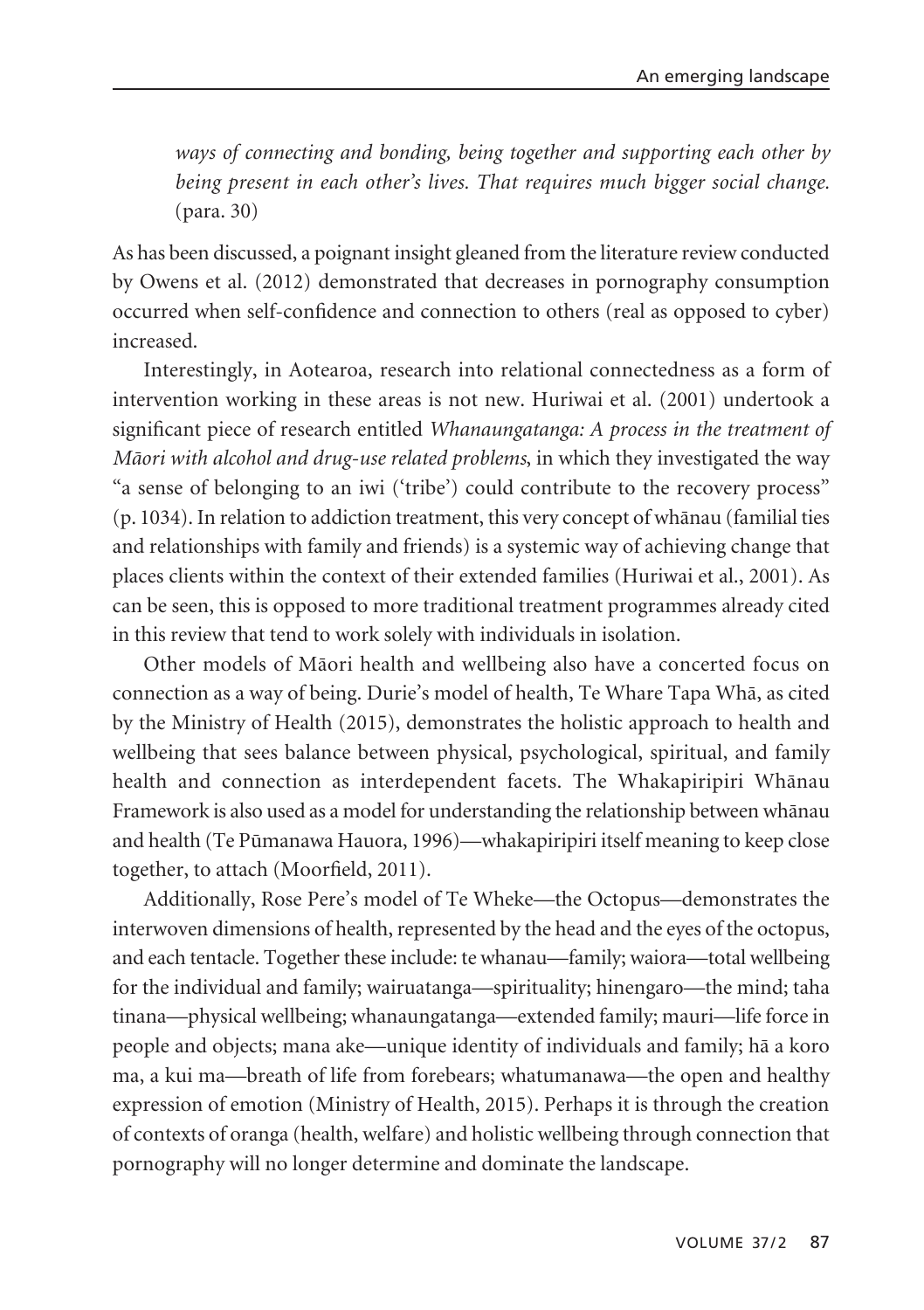*ways of connecting and bonding, being together and supporting each other by being present in each other's lives. That requires much bigger social change.* (para. 30)

As has been discussed, a poignant insight gleaned from the literature review conducted by Owens et al. (2012) demonstrated that decreases in pornography consumption occurred when self-confidence and connection to others (real as opposed to cyber) increased.

Interestingly, in Aotearoa, research into relational connectedness as a form of intervention working in these areas is not new. Huriwai et al. (2001) undertook a significant piece of research entitled *Whanaungatanga: A process in the treatment of Mäori with alcohol and drug-use related problems*, in which they investigated the way "a sense of belonging to an iwi ('tribe') could contribute to the recovery process" (p. 1034). In relation to addiction treatment, this very concept of whänau (familial ties and relationships with family and friends) is a systemic way of achieving change that places clients within the context of their extended families (Huriwai et al., 2001). As can be seen, this is opposed to more traditional treatment programmes already cited in this review that tend to work solely with individuals in isolation.

Other models of Mäori health and wellbeing also have a concerted focus on connection as a way of being. Durie's model of health, Te Whare Tapa Whä, as cited by the Ministry of Health (2015), demonstrates the holistic approach to health and wellbeing that sees balance between physical, psychological, spiritual, and family health and connection as interdependent facets. The Whakapiripiri Whänau Framework is also used as a model for understanding the relationship between whänau and health (Te Pümanawa Hauora, 1996)—whakapiripiri itself meaning to keep close together, to attach (Moorfield, 2011).

Additionally, Rose Pere's model of Te Wheke—the Octopus—demonstrates the interwoven dimensions of health, represented by the head and the eyes of the octopus, and each tentacle. Together these include: te whanau—family; waiora—total wellbeing for the individual and family; wairuatanga—spirituality; hinengaro—the mind; taha tinana—physical wellbeing; whanaungatanga—extended family; mauri—life force in people and objects; mana ake—unique identity of individuals and family; hä a koro ma, a kui ma—breath of life from forebears; whatumanawa—the open and healthy expression of emotion (Ministry of Health, 2015). Perhaps it is through the creation of contexts of oranga (health, welfare) and holistic wellbeing through connection that pornography will no longer determine and dominate the landscape.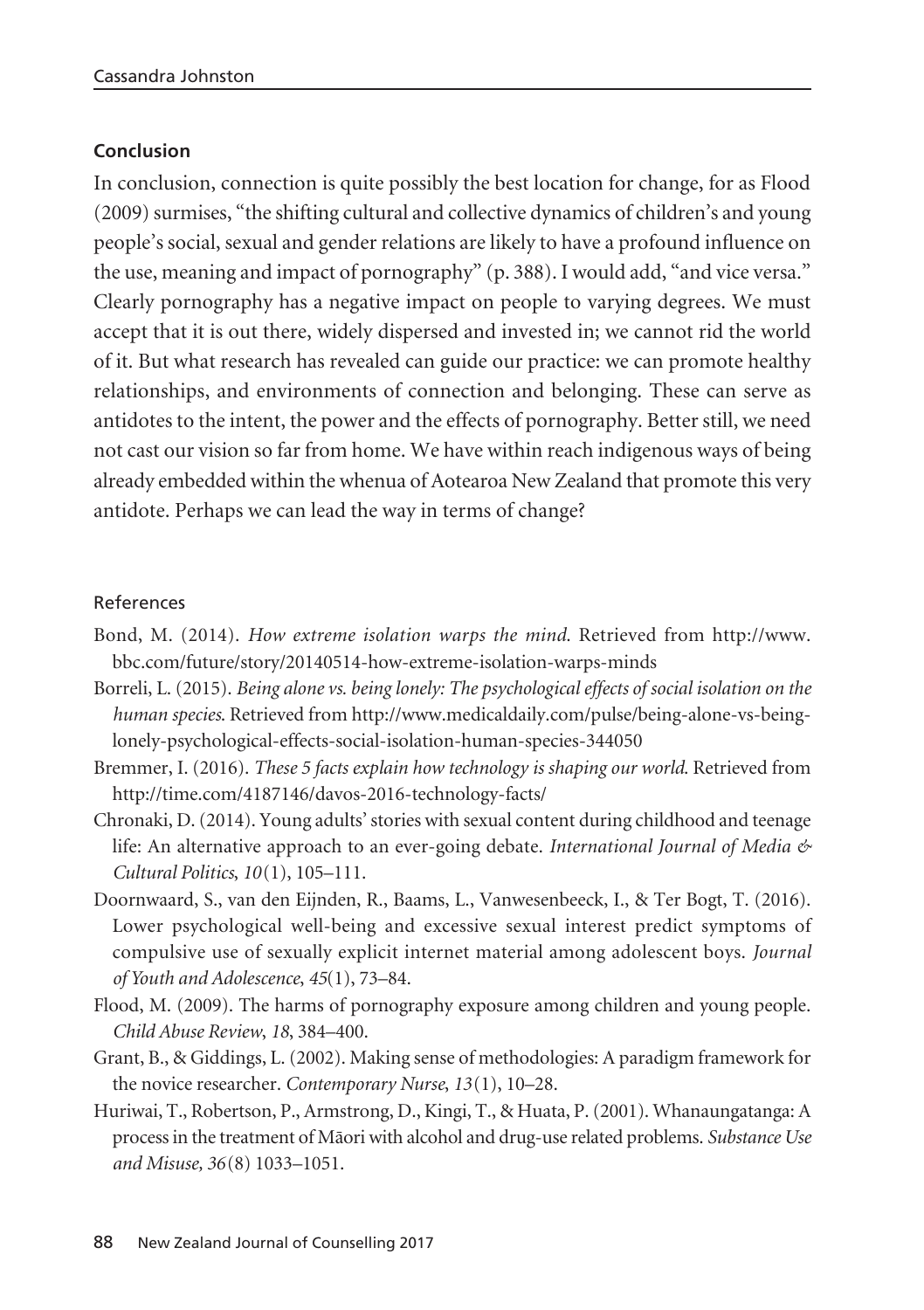# **Conclusion**

In conclusion, connection is quite possibly the best location for change, for as Flood (2009) surmises, "the shifting cultural and collective dynamics of children's and young people's social, sexual and gender relations are likely to have a profound influence on the use, meaning and impact of pornography" (p. 388). I would add, "and vice versa." Clearly pornography has a negative impact on people to varying degrees. We must accept that it is out there, widely dispersed and invested in; we cannot rid the world of it. But what research has revealed can guide our practice: we can promote healthy relationships, and environments of connection and belonging. These can serve as antidotes to the intent, the power and the effects of pornography. Better still, we need not cast our vision so far from home. We have within reach indigenous ways of being already embedded within the whenua of Aotearoa New Zealand that promote this very antidote. Perhaps we can lead the way in terms of change?

## References

- Bond, M. (2014). *How extreme isolation warps the mind*. Retrieved from http://www. bbc.com/future/story/20140514-how-extreme-isolation-warps-minds
- Borreli, L. (2015). *Being alone vs. being lonely: The psychological effects of social isolation on the human species*. Retrieved from http://www.medicaldaily.com/pulse/being-alone-vs-beinglonely-psychological-effects-social-isolation-human-species-344050
- Bremmer, I. (2016). *These 5 facts explain how technology is shaping our world*. Retrieved from http://time.com/4187146/davos-2016-technology-facts/
- Chronaki, D. (2014). Young adults' stories with sexual content during childhood and teenage life: An alternative approach to an ever-going debate. *International Journal of Media & Cultural Politics*, *10*(1), 105–111.
- Doornwaard, S., van den Eijnden, R., Baams, L., Vanwesenbeeck, I., & Ter Bogt, T. (2016). Lower psychological well-being and excessive sexual interest predict symptoms of compulsive use of sexually explicit internet material among adolescent boys. *Journal of Youth and Adolescence*, *45*(1), 73–84.
- Flood, M. (2009). The harms of pornography exposure among children and young people. *Child Abuse Review*, *18*, 384–400.
- Grant, B., & Giddings, L. (2002). Making sense of methodologies: A paradigm framework for the novice researcher. *Contemporary Nurse*, *13*(1), 10–28.
- Huriwai, T., Robertson, P., Armstrong, D., Kingi, T., & Huata, P. (2001). Whanaungatanga: A process in the treatment of Mäori with alcohol and drug-use related problems. *Substance Use and Misuse, 36*(8) 1033–1051.